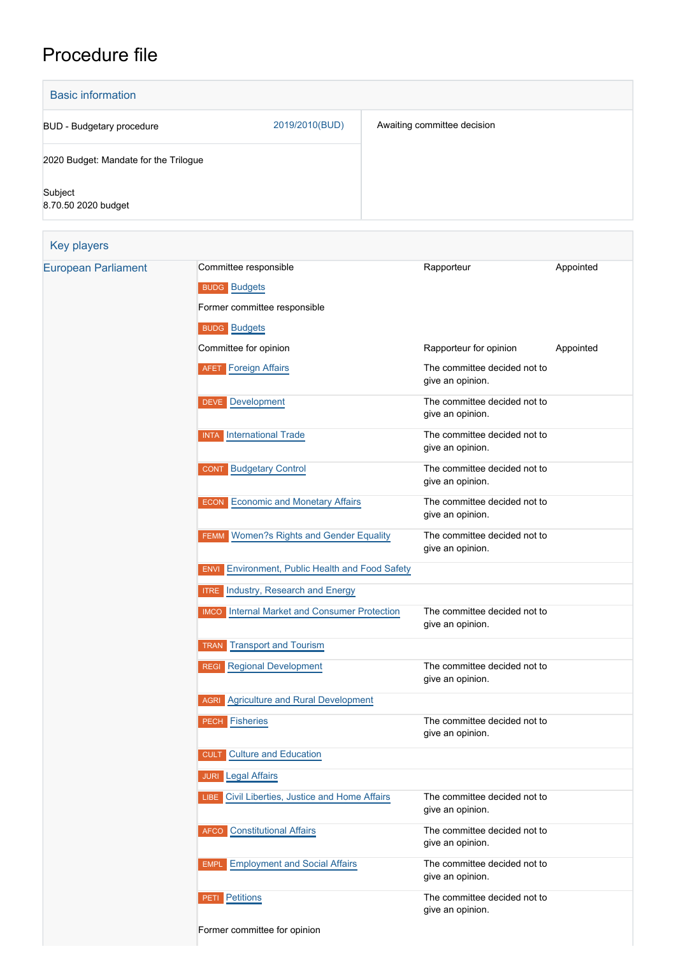## Procedure file

| <b>Basic information</b>              |                                                           |                                                  |           |
|---------------------------------------|-----------------------------------------------------------|--------------------------------------------------|-----------|
| <b>BUD - Budgetary procedure</b>      | 2019/2010(BUD)                                            | Awaiting committee decision                      |           |
| 2020 Budget: Mandate for the Trilogue |                                                           |                                                  |           |
| Subject<br>8.70.50 2020 budget        |                                                           |                                                  |           |
| <b>Key players</b>                    |                                                           |                                                  |           |
| <b>European Parliament</b>            | Committee responsible                                     | Rapporteur                                       | Appointed |
|                                       | <b>BUDG</b> Budgets                                       |                                                  |           |
|                                       | Former committee responsible                              |                                                  |           |
|                                       | <b>BUDG</b> Budgets                                       |                                                  |           |
|                                       | Committee for opinion                                     | Rapporteur for opinion                           | Appointed |
|                                       | <b>Foreign Affairs</b><br><b>AFET</b>                     | The committee decided not to<br>give an opinion. |           |
|                                       | <b>DEVE</b> Development                                   | The committee decided not to<br>give an opinion. |           |
|                                       | <b>International Trade</b><br><b>INTA</b>                 | The committee decided not to<br>give an opinion. |           |
|                                       | <b>Budgetary Control</b><br><b>CONT</b>                   | The committee decided not to<br>give an opinion. |           |
|                                       | <b>ECON</b> Economic and Monetary Affairs                 | The committee decided not to<br>give an opinion. |           |
|                                       | <b>FEMM Women?s Rights and Gender Equality</b>            | The committee decided not to<br>give an opinion. |           |
|                                       | Environment, Public Health and Food Safety<br><b>ENVI</b> |                                                  |           |
|                                       | <b>ITRE</b> Industry, Research and Energy                 |                                                  |           |
|                                       | <b>IMCO</b> Internal Market and Consumer Protection       | The committee decided not to<br>give an opinion. |           |
|                                       | <b>TRAN Transport and Tourism</b>                         |                                                  |           |
|                                       | <b>REGI Regional Development</b>                          | The committee decided not to<br>give an opinion. |           |
|                                       | <b>AGRI</b> Agriculture and Rural Development             |                                                  |           |
|                                       | <b>PECH</b> Fisheries                                     | The committee decided not to<br>give an opinion. |           |
|                                       | <b>Culture and Education</b><br><b>CULT</b>               |                                                  |           |
|                                       | <b>JURI</b> Legal Affairs                                 |                                                  |           |
|                                       | LIBE Civil Liberties, Justice and Home Affairs            | The committee decided not to<br>give an opinion. |           |
|                                       | <b>Constitutional Affairs</b><br><b>AFCO</b>              | The committee decided not to<br>give an opinion. |           |
|                                       | <b>Employment and Social Affairs</b><br><b>EMPL</b>       | The committee decided not to<br>give an opinion. |           |
|                                       | <b>PETI</b> Petitions                                     | The committee decided not to<br>give an opinion. |           |
|                                       | Former committee for opinion                              |                                                  |           |